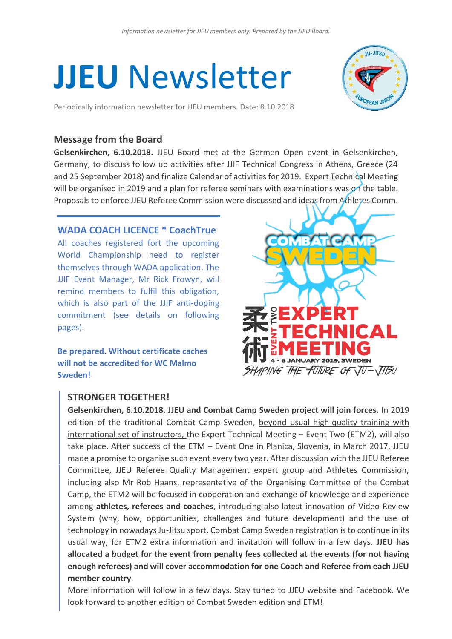# **JJEU** Newsletter

Periodically information newsletter for JJEU members. Date: 8.10.2018



## **Message from the Board**

**Gelsenkirchen, 6.10.2018.** JJEU Board met at the Germen Open event in Gelsenkirchen, Germany, to discuss follow up activities after JJIF Technical Congress in Athens, Greece (24 and 25 September 2018) and finalize Calendar of activities for 2019. Expert Technical Meeting will be organised in 2019 and a plan for referee seminars with examinations was on the table. Proposals to enforce JJEU Referee Commission were discussed and ideas from Athletes Comm.

## **WADA COACH LICENCE \* CoachTrue**

All coaches registered fort the upcoming World Championship need to register themselves through WADA application. The JJIF Event Manager, Mr Rick Frowyn, will remind members to fulfil this obligation, which is also part of the JJIF anti-doping commitment (see details on following pages).

**Be prepared. Without certificate caches will not be accredited for WC Malmo Sweden!**



# **STRONGER TOGETHER!**

**Gelsenkirchen, 6.10.2018. JJEU and Combat Camp Sweden project will join forces.** In 2019 edition of the traditional Combat Camp Sweden, beyond usual high-quality training with international set of instructors, the Expert Technical Meeting – Event Two (ETM2), will also take place. After success of the ETM – Event One in Planica, Slovenia, in March 2017, JJEU made a promise to organise such event every two year. After discussion with the JJEU Referee Committee, JJEU Referee Quality Management expert group and Athletes Commission, including also Mr Rob Haans, representative of the Organising Committee of the Combat Camp, the ETM2 will be focused in cooperation and exchange of knowledge and experience among **athletes, referees and coaches**, introducing also latest innovation of Video Review System (why, how, opportunities, challenges and future development) and the use of technology in nowadays Ju-Jitsu sport. Combat Camp Sweden registration is to continue in its usual way, for ETM2 extra information and invitation will follow in a few days. **JJEU has allocated a budget for the event from penalty fees collected at the events (for not having enough referees) and will cover accommodation for one Coach and Referee from each JJEU member country**.

More information will follow in a few days. Stay tuned to JJEU website and Facebook. We look forward to another edition of Combat Sweden edition and ETM!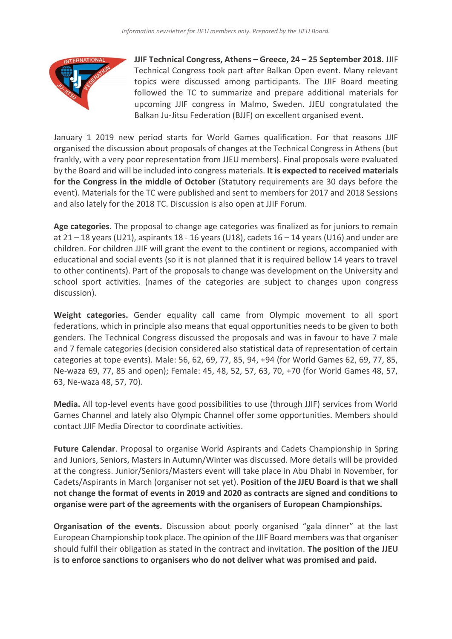

**JJIF Technical Congress, Athens – Greece, 24 – 25 September 2018.** JJIF Technical Congress took part after Balkan Open event. Many relevant topics were discussed among participants. The JJIF Board meeting followed the TC to summarize and prepare additional materials for upcoming JJIF congress in Malmo, Sweden. JJEU congratulated the Balkan Ju-Jitsu Federation (BJJF) on excellent organised event.

January 1 2019 new period starts for World Games qualification. For that reasons JJIF organised the discussion about proposals of changes at the Technical Congress in Athens (but frankly, with a very poor representation from JJEU members). Final proposals were evaluated by the Board and will be included into congress materials. **It is expected to received materials for the Congress in the middle of October** (Statutory requirements are 30 days before the event). Materials for the TC were published and sent to members for 2017 and 2018 Sessions and also lately for the 2018 TC. Discussion is also open at JJIF Forum.

**Age categories.** The proposal to change age categories was finalized as for juniors to remain at 21 – 18 years (U21), aspirants 18 - 16 years (U18), cadets 16 – 14 years (U16) and under are children. For children JJIF will grant the event to the continent or regions, accompanied with educational and social events (so it is not planned that it is required bellow 14 years to travel to other continents). Part of the proposals to change was development on the University and school sport activities. (names of the categories are subject to changes upon congress discussion).

**Weight categories.** Gender equality call came from Olympic movement to all sport federations, which in principle also means that equal opportunities needs to be given to both genders. The Technical Congress discussed the proposals and was in favour to have 7 male and 7 female categories (decision considered also statistical data of representation of certain categories at tope events). Male: 56, 62, 69, 77, 85, 94, +94 (for World Games 62, 69, 77, 85, Ne-waza 69, 77, 85 and open); Female: 45, 48, 52, 57, 63, 70, +70 (for World Games 48, 57, 63, Ne-waza 48, 57, 70).

**Media.** All top-level events have good possibilities to use (through JJIF) services from World Games Channel and lately also Olympic Channel offer some opportunities. Members should contact JJIF Media Director to coordinate activities.

**Future Calendar**. Proposal to organise World Aspirants and Cadets Championship in Spring and Juniors, Seniors, Masters in Autumn/Winter was discussed. More details will be provided at the congress. Junior/Seniors/Masters event will take place in Abu Dhabi in November, for Cadets/Aspirants in March (organiser not set yet). **Position of the JJEU Board is that we shall not change the format of events in 2019 and 2020 as contracts are signed and conditions to organise were part of the agreements with the organisers of European Championships.**

**Organisation of the events.** Discussion about poorly organised "gala dinner" at the last European Championship took place. The opinion of the JJIF Board members was that organiser should fulfil their obligation as stated in the contract and invitation. **The position of the JJEU is to enforce sanctions to organisers who do not deliver what was promised and paid.**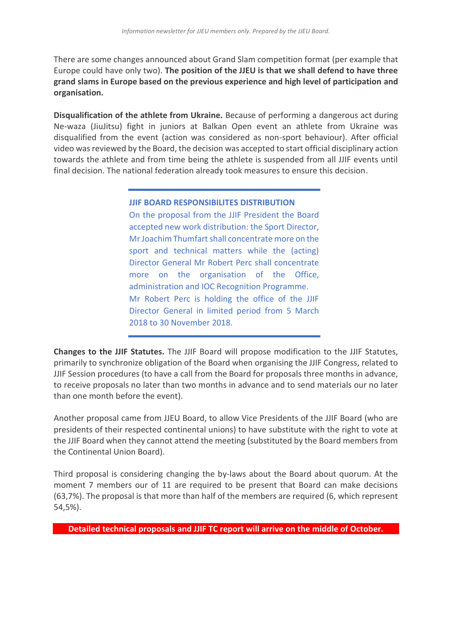There are some changes announced about Grand Slam competition format (per example that Europe could have only two). **The position of the JJEU is that we shall defend to have three grand slams in Europe based on the previous experience and high level of participation and organisation.**

**Disqualification of the athlete from Ukraine.** Because of performing a dangerous act during Ne-waza (JiuJitsu) fight in juniors at Balkan Open event an athlete from Ukraine was disqualified from the event (action was considered as non-sport behaviour). After official video was reviewed by the Board, the decision was accepted to start official disciplinary action towards the athlete and from time being the athlete is suspended from all JJIF events until final decision. The national federation already took measures to ensure this decision.

## **JJIF BOARD RESPONSIBILITES DISTRIBUTION**

On the proposal from the JJIF President the Board accepted new work distribution: the Sport Director, Mr Joachim Thumfart shall concentrate more on the sport and technical matters while the (acting) Director General Mr Robert Perc shall concentrate more on the organisation of the Office, administration and IOC Recognition Programme. Mr Robert Perc is holding the office of the JJIF Director General in limited period from 5 March 2018 to 30 November 2018.

**Changes to the JJIF Statutes.** The JJIF Board will propose modification to the JJIF Statutes, primarily to synchronize obligation of the Board when organising the JJIF Congress, related to JJIF Session procedures (to have a call from the Board for proposals three months in advance, to receive proposals no later than two months in advance and to send materials our no later than one month before the event).

Another proposal came from JJEU Board, to allow Vice Presidents of the JJIF Board (who are presidents of their respected continental unions) to have substitute with the right to vote at the JJIF Board when they cannot attend the meeting (substituted by the Board members from the Continental Union Board).

Third proposal is considering changing the by-laws about the Board about quorum. At the moment 7 members our of 11 are required to be present that Board can make decisions (63,7%). The proposal is that more than half of the members are required (6, which represent 54,5%).

**Detailed technical proposals and JJIF TC report will arrive on the middle of October.**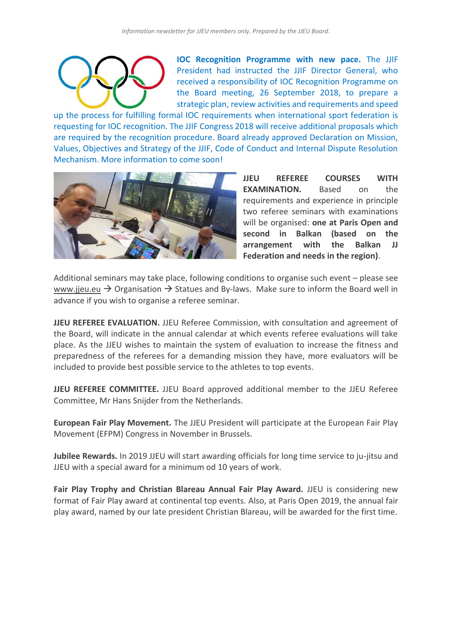

**IOC Recognition Programme with new pace.** The JJIF President had instructed the JJIF Director General, who received a responsibility of IOC Recognition Programme on the Board meeting, 26 September 2018, to prepare a strategic plan, review activities and requirements and speed

up the process for fulfilling formal IOC requirements when international sport federation is requesting for IOC recognition. The JJIF Congress 2018 will receive additional proposals which are required by the recognition procedure. Board already approved Declaration on Mission, Values, Objectives and Strategy of the JJIF, Code of Conduct and Internal Dispute Resolution Mechanism. More information to come soon!



**JJEU REFEREE COURSES WITH EXAMINATION.** Based on the requirements and experience in principle two referee seminars with examinations will be organised: **one at Paris Open and second in Balkan (based on the arrangement with the Balkan JJ Federation and needs in the region)**.

Additional seminars may take place, following conditions to organise such event – please see [www.jjeu.eu](http://www.jjeu.eu/)  $\rightarrow$  Organisation  $\rightarrow$  Statues and By-laws. Make sure to inform the Board well in advance if you wish to organise a referee seminar.

**JJEU REFEREE EVALUATION.** JJEU Referee Commission, with consultation and agreement of the Board, will indicate in the annual calendar at which events referee evaluations will take place. As the JJEU wishes to maintain the system of evaluation to increase the fitness and preparedness of the referees for a demanding mission they have, more evaluators will be included to provide best possible service to the athletes to top events.

**JJEU REFEREE COMMITTEE.** JJEU Board approved additional member to the JJEU Referee Committee, Mr Hans Snijder from the Netherlands.

**European Fair Play Movement.** The JJEU President will participate at the European Fair Play Movement (EFPM) Congress in November in Brussels.

**Jubilee Rewards.** In 2019 JJEU will start awarding officials for long time service to ju-jitsu and JJEU with a special award for a minimum od 10 years of work.

**Fair Play Trophy and Christian Blareau Annual Fair Play Award.** JJEU is considering new format of Fair Play award at continental top events. Also, at Paris Open 2019, the annual fair play award, named by our late president Christian Blareau, will be awarded for the first time.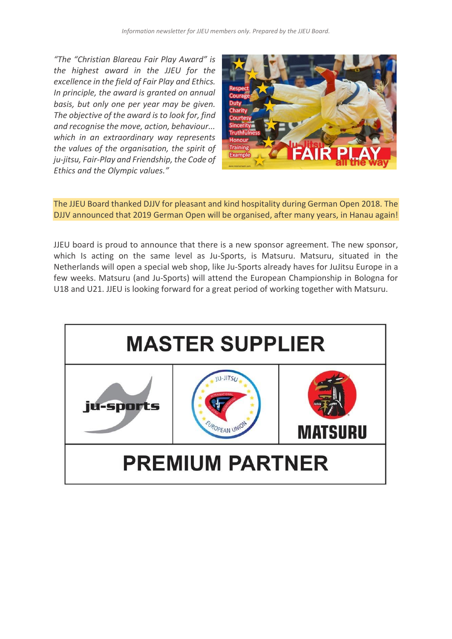*"The "Christian Blareau Fair Play Award" is the highest award in the JJEU for the excellence in the field of Fair Play and Ethics. In principle, the award is granted on annual basis, but only one per year may be given. The objective of the award is to look for, find and recognise the move, action, behaviour... which in an extraordinary way represents the values of the organisation, the spirit of ju-jitsu, Fair-Play and Friendship, the Code of Ethics and the Olympic values."*



The JJEU Board thanked DJJV for pleasant and kind hospitality during German Open 2018. The DJJV announced that 2019 German Open will be organised, after many years, in Hanau again!

JJEU board is proud to announce that there is a new sponsor agreement. The new sponsor, which Is acting on the same level as Ju-Sports, is Matsuru. Matsuru, situated in the Netherlands will open a special web shop, like Ju-Sports already haves for JuJitsu Europe in a few weeks. Matsuru (and Ju-Sports) will attend the European Championship in Bologna for U18 and U21. JJEU is looking forward for a great period of working together with Matsuru.